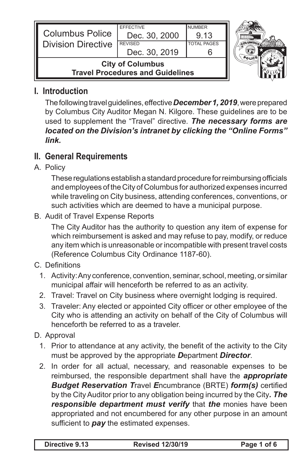| <b>Columbus Police</b>                                             | <b>EFFECTIVE</b><br>Dec. 30, 2000 | <b>NUMBER</b><br>913 |  |
|--------------------------------------------------------------------|-----------------------------------|----------------------|--|
| <b>Division Directive</b>                                          | <b>REVISED</b><br>Dec. 30, 2019   | <b>TOTAL PAGES</b>   |  |
| <b>City of Columbus</b><br><b>Travel Procedures and Guidelines</b> |                                   |                      |  |

### **I. Introduction**

The following travel guidelines, effective **December 1, 2019**, were prepared by Columbus City Auditor Megan N. Kilgore. These guidelines are to be used to supplement the "Travel" directive. *The necessary forms are located on the Division's intranet by clicking the "Online Forms" link.*

# **II. General Requirements**

A. Policy

These regulations establish a standard procedure for reimbursing officials and employees of the City of Columbus for authorized expenses incurred while traveling on City business, attending conferences, conventions, or such activities which are deemed to have a municipal purpose.

B. Audit of Travel Expense Reports

The City Auditor has the authority to question any item of expense for which reimbursement is asked and may refuse to pay, modify, or reduce any item which is unreasonable or incompatible with present travel costs (Reference Columbus City Ordinance 1187-60).

- C. Definitions
	- 1. Activity: Any conference, convention, seminar, school, meeting, or similar municipal affair will henceforth be referred to as an activity.
	- 2. Travel: Travel on City business where overnight lodging is required.
	- 3. Traveler: Any elected or appointed City officer or other employee of the City who is attending an activity on behalf of the City of Columbus will henceforth be referred to as a traveler.
- D. Approval
	- 1. Prior to attendance at any activity, the benefit of the activity to the City must be approved by the appropriate *D*epartment *Director*.
	- 2. In order for all actual, necessary, and reasonable expenses to be reimbursed, the responsible department shall have the *appropriate Budget Reservation T*ravel *E*ncumbrance (BRTE) *form(s)* certified by the CityAuditor prior to any obligation being incurred by the City*. The responsible department must verify* that *the* monies have been appropriated and not encumbered for any other purpose in an amount sufficient to *pay* the estimated expenses.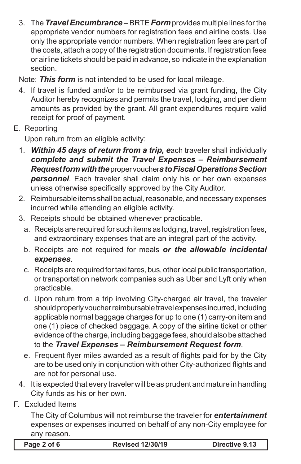3. The *Travel Encumbrance –* BRTE *Form* provides multiple lines for the appropriate vendor numbers for registration fees and airline costs. Use only the appropriate vendor numbers. When registration fees are part of the costs, attach a copy of the registration documents. If registration fees or airline tickets should be paid in advance, so indicate in the explanation section.

Note: *This form* is not intended to be used for local mileage.

- 4. If travel is funded and/or to be reimbursed via grant funding, the City Auditor hereby recognizes and permits the travel, lodging, and per diem amounts as provided by the grant. All grant expenditures require valid receipt for proof of payment.
- E. Reporting

 Upon return from an eligible activity:

- 1. **Within 45 days of return from a trip, each traveler shall individually** *complete and submit the Travel Expenses – Reimbursement Request form with the*propervoucher*sto Fiscal Operations Section personnel*. Each traveler shall claim only his or her own expenses unless otherwise specifically approved by the City Auditor.
- 2. Reimbursable items shall be actual, reasonable, and necessary expenses incurred while attending an eligible activity.
- 3. Receipts should be obtained whenever practicable.
	- a. Receipts are required for such items as lodging, travel, registration fees, and extraordinary expenses that are an integral part of the activity.
	- b. Receipts are not required for meals *or the allowable incidental expenses*.
	- c. Receipts are required for taxifares, bus, other local public transportation, or transportation network companies such as Uber and Lyft only when practicable.
	- d. Upon return from a trip involving City-charged air travel, the traveler should properly voucher reimbursable travel expenses incurred, including applicable normal baggage charges for up to one (1) carry-on item and one (1) piece of checked baggage. A copy of the airline ticket or other evidence of the charge, including baggage fees, should also be attached to the *Travel Expenses – Reimbursement Request form*.
	- e. Frequent flyer miles awarded as a result of flights paid for by the City are to be used only in conjunction with other City-authorized flights and are not for personal use.
- 4. It is expected that every traveler will be as prudent and mature in handling City funds as his or her own.
- **F.** Excluded Items

The City of Columbus will not reimburse the traveler for *entertainment*  expenses or expenses incurred on behalf of any non-City employee for any reason.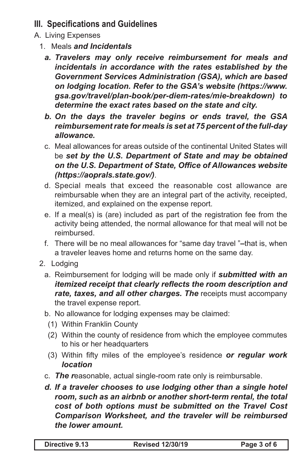## **III. Specifications and Guidelines**

- A. Living Expenses
	- 1. Meals *and Incidentals*
		- *a. Travelers may only receive reimbursement for meals and incidentals in accordance with the rates established by the Government Services Administration (GSA), which are based on lodging location. Refer to the GSA's website (https://www. gsa.gov/travel/plan-book/per-diem-rates/mie-breakdown) to determine the exact rates based on the state and city.*
		- *b. On the days the traveler begins or ends travel, the GSA reimbursement rate for meals is set at 75 percent of the full-day allowance.*
		- c. Meal allowances for areas outside of the continental United States will be *set by the U.S. Department of State and may be obtained on the U.S. Department of State, Office of Allowances website (https://aoprals.state.gov/)*.
		- d. Special meals that exceed the reasonable cost allowance are reimbursable when they are an integral part of the activity, receipted, itemized, and explained on the expense report.
		- e. If a meal(s) is (are) included as part of the registration fee from the activity being attended, the normal allowance for that meal will not be reimbursed.
		- f. There will be no meal allowances for "same day travel "-that is, when a traveler leaves home and returns home on the same day.
	- 2. Lodging
		- a. Reimbursement for lodging will be made only if *submitted with an itemized receipt that clearly reflects the room description and rate, taxes, and all other charges. The* receipts must accompany the travel expense report.
		- b. No allowance for lodging expenses may be claimed:
			- (1) Within Franklin County
			- (2) Within the county of residence from which the employee commutes to his or her headquarters
			- (3) Within fifty miles of the employee's residence *or regular work location*
		- c. **The reasonable, actual single-room rate only is reimbursable.**
		- *d. If a traveler chooses to use lodging other than a single hotel room, such as an airbnb or another short-term rental, the total cost of both options must be submitted on the Travel Cost Comparison Worksheet, and the traveler will be reimbursed the lower amount.*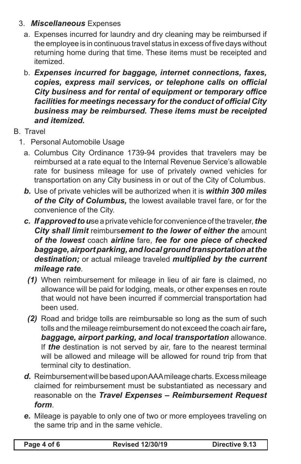#### 3. *Miscellaneous* Expenses

- a. Expenses incurred for laundry and dry cleaning may be reimbursed if the employee is in continuous travel status in excess of five days without returning home during that time. These items must be receipted and itemized.
- b. *Expenses incurred for baggage, internet connections, faxes, copies, express mail services, or telephone calls on official City business and for rental of equipment or temporary office facilities for meetings necessary for the conduct of official City business may be reimbursed. These items must be receipted and itemized.*
- B. Travel
	- 1. Personal Automobile Usage
		- a. Columbus City Ordinance 1739-94 provides that travelers may be reimbursed at a rate equal to the Internal Revenue Service's allowable rate for business mileage for use of privately owned vehicles for transportation on any City business in or out of the City of Columbus.
		- *b.* Use of private vehicles will be authorized when it is *within 300 miles of the City of Columbus,* the lowest available travel fare, or for the convenience of the City.
		- *c. If approved to u*se a private vehicle for convenience of the traveler,*the City shall limit* reimburs*ement to the lower of either the* amount *of the lowest* coach *airline* fare, *fee for one piece of checked baggage, airport parking, and local ground transportation at the destination;* or actual mileage traveled *multiplied by the current mileage rate*.
			- *(1)* When reimbursement for mileage in lieu of air fare is claimed, no allowance will be paid for lodging, meals, or other expenses en route that would not have been incurred if commercial transportation had been used.
			- *(2)* Road and bridge tolls are reimbursable so long as the sum of such tolls and the mileage reimbursement do not exceed the coach airfare*, baggage, airport parking, and local transportation* allowance. If *the* destination is not served by air, fare to the nearest terminal will be allowed and mileage will be allowed for round trip from that terminal city to destination.
		- d. Reimbursement will be based upon AAA mileage charts. Excess mileage claimed for reimbursement must be substantiated as necessary and reasonable on the *Travel Expenses – Reimbursement Request form*.
		- *e.* Mileage is payable to only one of two or more employees traveling on the same trip and in the same vehicle.

| Page 4 of 6 |  |  |  |  |
|-------------|--|--|--|--|
|-------------|--|--|--|--|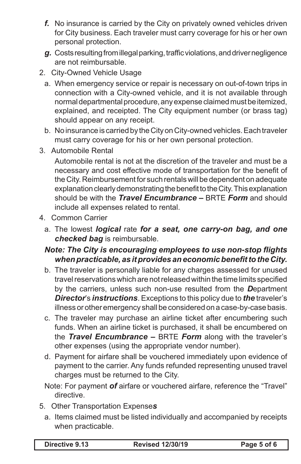- **f.** No insurance is carried by the City on privately owned vehicles driven for City business. Each traveler must carry coverage for his or her own personal protection.
- g. Costs resulting from illegal parking, traffic violations, and driver negligence are not reimbursable.
- 2. City-Owned Vehicle Usage
	- a. When emergency service or repair is necessary on out-of-town trips in connection with a City-owned vehicle, and it is not available through normal departmental procedure, any expense claimed must be itemized, explained, and receipted. The City equipment number (or brass tag) should appear on any receipt.
	- b. No insurance is carried by the City on City-owned vehicles. Each traveler must carry coverage for his or her own personal protection.
- 3. Automobile Rental

 Automobile rental is not at the discretion of the traveler and must be a necessary and cost effective mode of transportation for the benefit of the City. Reimbursement for such rentals will be dependent on adequate explanation clearly demonstrating the benefit to the City. This explanation should be with the *Travel Encumbrance –* BRTE *Form* and should include all expenses related to rental.

- 4. Common Carrier
	- a. The lowest *logical* rate *for a seat, one carry-on bag, and one checked bag* is reimbursable.

#### *Note: The City is encouraging employees to use non-stop flights when practicable, as it provides an economic benefit to the City.*

- b. The traveler is personally liable for any charges assessed for unused travel reservations which are not released within the time limits specified by the carriers, unless such non-use resulted from the *D*epartment *Director*'s *instructions*. Exceptions to this policy due to *the* traveler's illness or other emergency shall be considered on a case-by-case basis.
- c. The traveler may purchase an airline ticket after encumbering such funds. When an airline ticket is purchased, it shall be encumbered on the *Travel Encumbrance –* BRTE *Form* along with the traveler's other expenses (using the appropriate vendor number).
- d. Payment for airfare shall be vouchered immediately upon evidence of payment to the carrier. Any funds refunded representing unused travel charges must be returned to the City.
- Note: For payment *of* airfare or vouchered airfare, reference the "Travel" directive.
- 5. Other Transportation Expense*s*
	- a. Items claimed must be listed individually and accompanied by receipts when practicable.